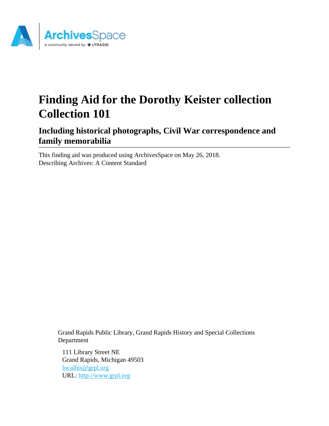

# **Finding Aid for the Dorothy Keister collection Collection 101**

**Including historical photographs, Civil War correspondence and family memorabilia**

This finding aid was produced using ArchivesSpace on May 26, 2018. Describing Archives: A Content Standard

> Grand Rapids Public Library, Grand Rapids History and Special Collections Department

111 Library Street NE Grand Rapids, Michigan 49503 [localhis@grpl.org](mailto:localhis@grpl.org) URL:<http://www.grpl.org>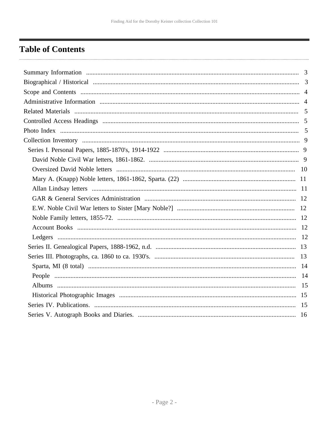# <span id="page-1-0"></span>**Table of Contents**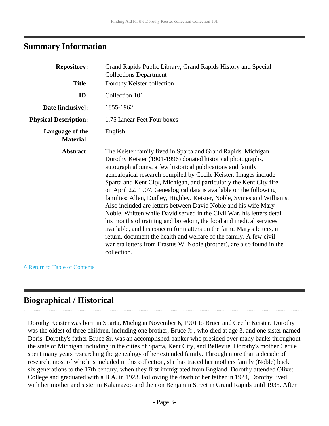### <span id="page-2-0"></span>**Summary Information**

| <b>Repository:</b><br><b>Title:</b> | Grand Rapids Public Library, Grand Rapids History and Special<br><b>Collections Department</b><br>Dorothy Keister collection                                                                                                                                                                                                                                                                                                                                                                                                                                                                                                                                                                                                                                                                                                                                                                                                                     |
|-------------------------------------|--------------------------------------------------------------------------------------------------------------------------------------------------------------------------------------------------------------------------------------------------------------------------------------------------------------------------------------------------------------------------------------------------------------------------------------------------------------------------------------------------------------------------------------------------------------------------------------------------------------------------------------------------------------------------------------------------------------------------------------------------------------------------------------------------------------------------------------------------------------------------------------------------------------------------------------------------|
| ID:                                 | Collection 101                                                                                                                                                                                                                                                                                                                                                                                                                                                                                                                                                                                                                                                                                                                                                                                                                                                                                                                                   |
| Date [inclusive]:                   | 1855-1962                                                                                                                                                                                                                                                                                                                                                                                                                                                                                                                                                                                                                                                                                                                                                                                                                                                                                                                                        |
| <b>Physical Description:</b>        | 1.75 Linear Feet Four boxes                                                                                                                                                                                                                                                                                                                                                                                                                                                                                                                                                                                                                                                                                                                                                                                                                                                                                                                      |
| Language of the<br><b>Material:</b> | English                                                                                                                                                                                                                                                                                                                                                                                                                                                                                                                                                                                                                                                                                                                                                                                                                                                                                                                                          |
| Abstract:                           | The Keister family lived in Sparta and Grand Rapids, Michigan.<br>Dorothy Keister (1901-1996) donated historical photographs,<br>autograph albums, a few historical publications and family<br>genealogical research compiled by Cecile Keister. Images include<br>Sparta and Kent City, Michigan, and particularly the Kent City fire<br>on April 22, 1907. Genealogical data is available on the following<br>families: Allen, Dudley, Highley, Keister, Noble, Symes and Williams.<br>Also included are letters between David Noble and his wife Mary<br>Noble. Written while David served in the Civil War, his letters detail<br>his months of training and boredom, the food and medical services<br>available, and his concern for matters on the farm. Mary's letters, in<br>return, document the health and welfare of the family. A few civil<br>war era letters from Erastus W. Noble (brother), are also found in the<br>collection. |

#### **^** [Return to Table of Contents](#page-1-0)

# <span id="page-2-1"></span>**Biographical / Historical**

Dorothy Keister was born in Sparta, Michigan November 6, 1901 to Bruce and Cecile Keister. Dorothy was the oldest of three children, including one brother, Bruce Jr., who died at age 3, and one sister named Doris. Dorothy's father Bruce Sr. was an accomplished banker who presided over many banks throughout the state of Michigan including in the cities of Sparta, Kent City, and Bellevue. Dorothy's mother Cecile spent many years researching the genealogy of her extended family. Through more than a decade of research, most of which is included in this collection, she has traced her mothers family (Noble) back six generations to the 17th century, when they first immigrated from England. Dorothy attended Olivet College and graduated with a B.A. in 1923. Following the death of her father in 1924, Dorothy lived with her mother and sister in Kalamazoo and then on Benjamin Street in Grand Rapids until 1935. After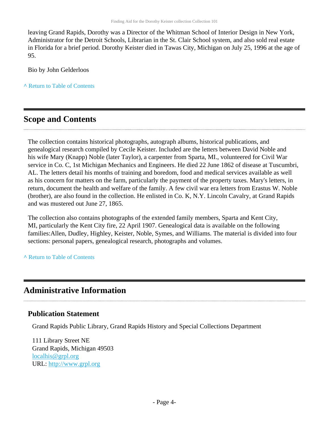leaving Grand Rapids, Dorothy was a Director of the Whitman School of Interior Design in New York, Administrator for the Detroit Schools, Librarian in the St. Clair School system, and also sold real estate in Florida for a brief period. Dorothy Keister died in Tawas City, Michigan on July 25, 1996 at the age of 95.

Bio by John Gelderloos

**^** [Return to Table of Contents](#page-1-0)

# <span id="page-3-0"></span>**Scope and Contents**

The collection contains historical photographs, autograph albums, historical publications, and genealogical research compiled by Cecile Keister. Included are the letters between David Noble and his wife Mary (Knapp) Noble (later Taylor), a carpenter from Sparta, MI., volunteered for Civil War service in Co. C, 1st Michigan Mechanics and Engineers. He died 22 June 1862 of disease at Tuscumbri, AL. The letters detail his months of training and boredom, food and medical services available as well as his concern for matters on the farm, particularly the payment of the property taxes. Mary's letters, in return, document the health and welfare of the family. A few civil war era letters from Erastus W. Noble (brother), are also found in the collection. He enlisted in Co. K, N.Y. Lincoln Cavalry, at Grand Rapids and was mustered out June 27, 1865.

The collection also contains photographs of the extended family members, Sparta and Kent City, MI, particularly the Kent City fire, 22 April 1907. Genealogical data is available on the following families:Allen, Dudley, Highley, Keister, Noble, Symes, and Williams. The material is divided into four sections: personal papers, genealogical research, photographs and volumes.

**^** [Return to Table of Contents](#page-1-0)

# <span id="page-3-1"></span>**Administrative Information**

### **Publication Statement**

Grand Rapids Public Library, Grand Rapids History and Special Collections Department

111 Library Street NE Grand Rapids, Michigan 49503 [localhis@grpl.org](mailto:localhis@grpl.org) URL:<http://www.grpl.org>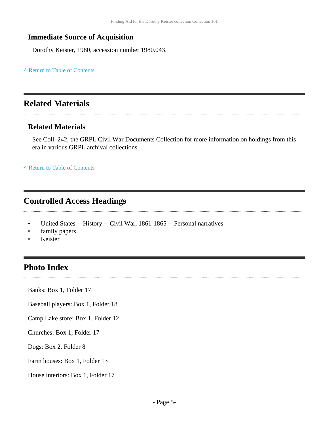### **Immediate Source of Acquisition**

Dorothy Keister, 1980, accession number 1980.043.

**^** [Return to Table of Contents](#page-1-0)

# <span id="page-4-0"></span>**Related Materials**

### **Related Materials**

See Coll. 242, the GRPL Civil War Documents Collection for more information on holdings from this era in various GRPL archival collections.

**^** [Return to Table of Contents](#page-1-0)

# <span id="page-4-1"></span>**Controlled Access Headings**

- United States -- History -- Civil War, 1861-1865 -- Personal narratives
- family papers
- Keister

............................

# <span id="page-4-2"></span>**Photo Index**

Banks: Box 1, Folder 17

Baseball players: Box 1, Folder 18

Camp Lake store: Box 1, Folder 12

Churches: Box 1, Folder 17

Dogs: Box 2, Folder 8

Farm houses: Box 1, Folder 13

House interiors: Box 1, Folder 17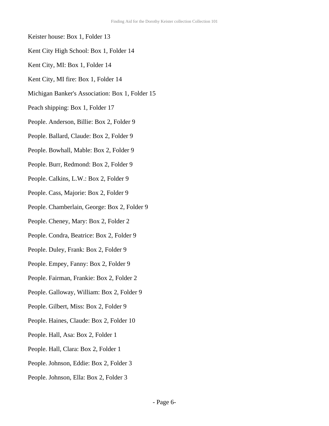- Keister house: Box 1, Folder 13
- Kent City High School: Box 1, Folder 14
- Kent City, MI: Box 1, Folder 14
- Kent City, MI fire: Box 1, Folder 14
- Michigan Banker's Association: Box 1, Folder 15
- Peach shipping: Box 1, Folder 17
- People. Anderson, Billie: Box 2, Folder 9
- People. Ballard, Claude: Box 2, Folder 9
- People. Bowhall, Mable: Box 2, Folder 9
- People. Burr, Redmond: Box 2, Folder 9
- People. Calkins, L.W.: Box 2, Folder 9
- People. Cass, Majorie: Box 2, Folder 9
- People. Chamberlain, George: Box 2, Folder 9
- People. Cheney, Mary: Box 2, Folder 2
- People. Condra, Beatrice: Box 2, Folder 9
- People. Duley, Frank: Box 2, Folder 9
- People. Empey, Fanny: Box 2, Folder 9
- People. Fairman, Frankie: Box 2, Folder 2
- People. Galloway, William: Box 2, Folder 9
- People. Gilbert, Miss: Box 2, Folder 9
- People. Haines, Claude: Box 2, Folder 10
- People. Hall, Asa: Box 2, Folder 1
- People. Hall, Clara: Box 2, Folder 1
- People. Johnson, Eddie: Box 2, Folder 3
- People. Johnson, Ella: Box 2, Folder 3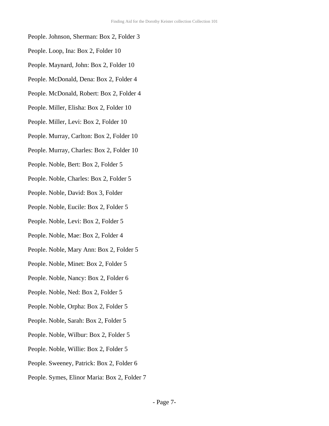- People. Johnson, Sherman: Box 2, Folder 3
- People. Loop, Ina: Box 2, Folder 10
- People. Maynard, John: Box 2, Folder 10
- People. McDonald, Dena: Box 2, Folder 4
- People. McDonald, Robert: Box 2, Folder 4
- People. Miller, Elisha: Box 2, Folder 10
- People. Miller, Levi: Box 2, Folder 10
- People. Murray, Carlton: Box 2, Folder 10
- People. Murray, Charles: Box 2, Folder 10
- People. Noble, Bert: Box 2, Folder 5
- People. Noble, Charles: Box 2, Folder 5
- People. Noble, David: Box 3, Folder
- People. Noble, Eucile: Box 2, Folder 5
- People. Noble, Levi: Box 2, Folder 5
- People. Noble, Mae: Box 2, Folder 4
- People. Noble, Mary Ann: Box 2, Folder 5
- People. Noble, Minet: Box 2, Folder 5
- People. Noble, Nancy: Box 2, Folder 6
- People. Noble, Ned: Box 2, Folder 5
- People. Noble, Orpha: Box 2, Folder 5
- People. Noble, Sarah: Box 2, Folder 5
- People. Noble, Wilbur: Box 2, Folder 5
- People. Noble, Willie: Box 2, Folder 5
- People. Sweeney, Patrick: Box 2, Folder 6
- People. Symes, Elinor Maria: Box 2, Folder 7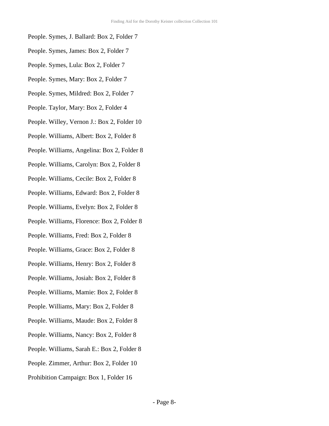- People. Symes, J. Ballard: Box 2, Folder 7
- People. Symes, James: Box 2, Folder 7
- People. Symes, Lula: Box 2, Folder 7
- People. Symes, Mary: Box 2, Folder 7
- People. Symes, Mildred: Box 2, Folder 7
- People. Taylor, Mary: Box 2, Folder 4
- People. Willey, Vernon J.: Box 2, Folder 10
- People. Williams, Albert: Box 2, Folder 8
- People. Williams, Angelina: Box 2, Folder 8
- People. Williams, Carolyn: Box 2, Folder 8
- People. Williams, Cecile: Box 2, Folder 8
- People. Williams, Edward: Box 2, Folder 8
- People. Williams, Evelyn: Box 2, Folder 8
- People. Williams, Florence: Box 2, Folder 8
- People. Williams, Fred: Box 2, Folder 8
- People. Williams, Grace: Box 2, Folder 8
- People. Williams, Henry: Box 2, Folder 8
- People. Williams, Josiah: Box 2, Folder 8
- People. Williams, Mamie: Box 2, Folder 8
- People. Williams, Mary: Box 2, Folder 8
- People. Williams, Maude: Box 2, Folder 8
- People. Williams, Nancy: Box 2, Folder 8
- People. Williams, Sarah E.: Box 2, Folder 8
- People. Zimmer, Arthur: Box 2, Folder 10
- Prohibition Campaign: Box 1, Folder 16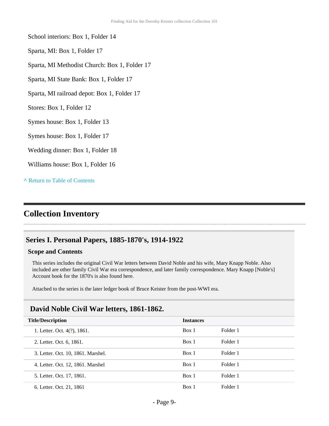School interiors: Box 1, Folder 14

Sparta, MI: Box 1, Folder 17

Sparta, MI Methodist Church: Box 1, Folder 17

Sparta, MI State Bank: Box 1, Folder 17

Sparta, MI railroad depot: Box 1, Folder 17

Stores: Box 1, Folder 12

Symes house: Box 1, Folder 13

Symes house: Box 1, Folder 17

Wedding dinner: Box 1, Folder 18

Williams house: Box 1, Folder 16

**^** [Return to Table of Contents](#page-1-0)

# <span id="page-8-0"></span>**Collection Inventory**

#### <span id="page-8-1"></span>**Series I. Personal Papers, 1885-1870's, 1914-1922**

#### **Scope and Contents**

This series includes the original Civil War letters between David Noble and his wife, Mary Knapp Noble. Also included are other family Civil War era correspondence, and later family correspondence. Mary Knapp [Noble's] Account book for the 1870's is also found here.

Attached to the series is the later ledger book of Bruce Keister from the post-WWI era.

### <span id="page-8-2"></span>**David Noble Civil War letters, 1861-1862.**

| <b>Title/Description</b>           | <b>Instances</b> |          |  |
|------------------------------------|------------------|----------|--|
| 1. Letter. Oct. 4(?), 1861.        | Box 1            | Folder 1 |  |
| 2. Letter. Oct. 6, 1861.           | Box 1            | Folder 1 |  |
| 3. Letter. Oct. 10, 1861. Marshel. | Box 1            | Folder 1 |  |
| 4. Letter. Oct. 12, 1861. Marshel  | Box 1            | Folder 1 |  |
| 5. Letter. Oct. 17, 1861.          | Box 1            | Folder 1 |  |
| 6. Letter. Oct. 21, 1861           | Box 1            | Folder 1 |  |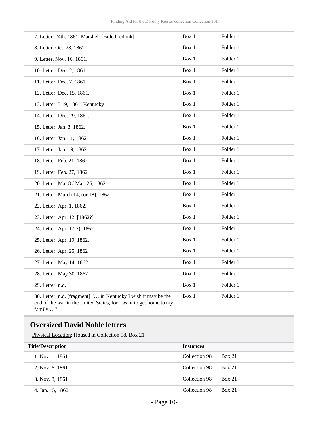| 7. Letter. 24th, 1861. Marshel. [Faded red ink]                | Box 1 | Folder 1 |
|----------------------------------------------------------------|-------|----------|
| 8. Letter. Oct. 28, 1861.                                      | Box 1 | Folder 1 |
| 9. Letter. Nov. 16, 1861.                                      | Box 1 | Folder 1 |
| 10. Letter. Dec. 2, 1861.                                      | Box 1 | Folder 1 |
| 11. Letter. Dec. 7, 1861.                                      | Box 1 | Folder 1 |
| 12. Letter. Dec. 15, 1861.                                     | Box 1 | Folder 1 |
| 13. Letter. ? 19, 1861. Kentucky                               | Box 1 | Folder 1 |
| 14. Letter. Dec. 29, 1861.                                     | Box 1 | Folder 1 |
| 15. Letter. Jan. 3, 1862.                                      | Box 1 | Folder 1 |
| 16. Letter. Jan. 11, 1862                                      | Box 1 | Folder 1 |
| 17. Letter. Jan. 19, 1862                                      | Box 1 | Folder 1 |
| 18. Letter. Feb. 21, 1862                                      | Box 1 | Folder 1 |
| 19. Letter. Feb. 27, 1862                                      | Box 1 | Folder 1 |
| 20. Letter. Mar 8 / Mar. 26, 1862                              | Box 1 | Folder 1 |
| 21. Letter. March 14, (or 18), 1862                            | Box 1 | Folder 1 |
| 22. Letter. Apr. 1, 1862.                                      | Box 1 | Folder 1 |
| 23. Letter. Apr. 12, [1862?]                                   | Box 1 | Folder 1 |
| 24. Letter. Apr. 17(?), 1862.                                  | Box 1 | Folder 1 |
| 25. Letter. Apr. 19, 1862.                                     | Box 1 | Folder 1 |
| 26. Letter. Apr. 25, 1862                                      | Box 1 | Folder 1 |
| 27. Letter. May 14, 1862                                       | Box 1 | Folder 1 |
| 28. Letter. May 30, 1862                                       | Box 1 | Folder 1 |
| 29. Letter. n.d.                                               | Box 1 | Folder 1 |
| 30. Letter. n.d. [fragment] " in Kentucky I wish it may be the | Box 1 | Folder 1 |

end of the war in the United States, for I want to get home to my family …"

## <span id="page-9-0"></span>**Oversized David Noble letters**

Physical Location: Housed in Collection 98, Box 21

| <b>Title/Description</b> | <b>Instances</b> |               |
|--------------------------|------------------|---------------|
| 1. Nov. 1, 1861          | Collection 98    | <b>Box 21</b> |
| 2. Nov. 6, 1861          | Collection 98    | <b>Box 21</b> |
| 3. Nov. 8, 1861          | Collection 98    | <b>Box 21</b> |
| 4. Jan. 15, 1862         | Collection 98    | <b>Box 21</b> |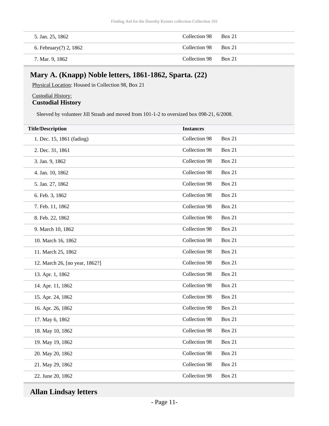| 5. Jan. 25, 1862       | Collection 98 Box 21 |               |
|------------------------|----------------------|---------------|
| 6. February(?) 2, 1862 | Collection 98 Box 21 |               |
| 7. Mar. 9, 1862        | Collection 98        | <b>Box 21</b> |

### <span id="page-10-0"></span>**Mary A. (Knapp) Noble letters, 1861-1862, Sparta. (22)**

Physical Location: Housed in Collection 98, Box 21

#### Custodial History: **Custodial History**

Sleeved by volunteer Jill Straub and moved from 101-1-2 to oversized box 098-21, 6/2008.

| <b>Title/Description</b>       | <b>Instances</b> |               |
|--------------------------------|------------------|---------------|
| 1. Dec. 15, 1861 (fading)      | Collection 98    | <b>Box 21</b> |
| 2. Dec. 31, 1861               | Collection 98    | <b>Box 21</b> |
| 3. Jan. 9, 1862                | Collection 98    | <b>Box 21</b> |
| 4. Jan. 10, 1862               | Collection 98    | <b>Box 21</b> |
| 5. Jan. 27, 1862               | Collection 98    | <b>Box 21</b> |
| 6. Feb. 3, 1862                | Collection 98    | <b>Box 21</b> |
| 7. Feb. 11, 1862               | Collection 98    | <b>Box 21</b> |
| 8. Feb. 22, 1862               | Collection 98    | <b>Box 21</b> |
| 9. March 10, 1862              | Collection 98    | <b>Box 21</b> |
| 10. March 16, 1862             | Collection 98    | <b>Box 21</b> |
| 11. March 25, 1862             | Collection 98    | <b>Box 21</b> |
| 12. March 26, [no year, 1862?] | Collection 98    | <b>Box 21</b> |
| 13. Apr. 1, 1862               | Collection 98    | <b>Box 21</b> |
| 14. Apr. 11, 1862              | Collection 98    | <b>Box 21</b> |
| 15. Apr. 24, 1862              | Collection 98    | <b>Box 21</b> |
| 16. Apr. 26, 1862              | Collection 98    | <b>Box 21</b> |
| 17. May 6, 1862                | Collection 98    | <b>Box 21</b> |
| 18. May 10, 1862               | Collection 98    | <b>Box 21</b> |
| 19. May 19, 1862               | Collection 98    | <b>Box 21</b> |
| 20. May 20, 1862               | Collection 98    | <b>Box 21</b> |
| 21. May 29, 1862               | Collection 98    | <b>Box 21</b> |
| 22. June 20, 1862              | Collection 98    | <b>Box 21</b> |
|                                |                  |               |

# <span id="page-10-1"></span>**Allan Lindsay letters**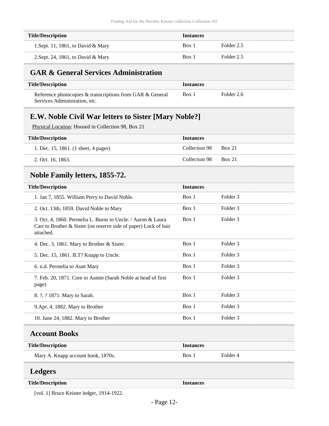| <b>Title/Description</b>           | <b>Instances</b> |            |
|------------------------------------|------------------|------------|
| 1. Sept. 11, 1861, to David & Mary | Box 1            | Folder 2.5 |
| 2. Sept. 24, 1861, to David & Mary | Box 1            | Folder 2.5 |

### <span id="page-11-0"></span>**GAR & General Services Administration**

| <b>Title/Description</b>                                  | <i><u><b>Instances</b></u></i> |            |
|-----------------------------------------------------------|--------------------------------|------------|
| Reference photocopies & transcriptions from GAR & General | Box 1                          | Folder 2.6 |
| Services Administration, etc.                             |                                |            |

# <span id="page-11-1"></span>**E.W. Noble Civil War letters to Sister [Mary Noble?]**

Physical Location: Housed in Collection 98, Box 21

| <b>Title/Description</b>             | <b>Instances</b> |               |
|--------------------------------------|------------------|---------------|
| 1. Dec. 15, 1861. (1 sheet, 4 pages) | Collection 98    | <b>Box 21</b> |
| 2. Oct. 16, 1863.                    | Collection 98    | <b>Box 21</b> |

### <span id="page-11-2"></span>**Noble Family letters, 1855-72.**

| <b>Title/Description</b>                                                                                                                      | <b>Instances</b> |                     |  |
|-----------------------------------------------------------------------------------------------------------------------------------------------|------------------|---------------------|--|
| 1. Jan 7, 1855. William Perry to David Noble.                                                                                                 | Box 1            | Folder <sub>3</sub> |  |
| 2. Oct. 13th, 1859. David Noble to Mary                                                                                                       | Box 1            | Folder <sub>3</sub> |  |
| 3. Oct. 4, 1860. Permelia L. Burns to Uncle. / Aaron & Laura<br>Carr to Brother & Sister (on reserve side of paper) Lock of hair<br>attached. | Box 1            | Folder <sub>3</sub> |  |
| 4. Dec. 3, 1861. Mary to Brother & Sister.                                                                                                    | Box 1            | Folder <sub>3</sub> |  |
| 5. Dec. 15, 1861. B.T? Knapp to Uncle.                                                                                                        | Box 1            | Folder <sub>3</sub> |  |
| 6. n.d. Permelia to Aunt Mary                                                                                                                 | Box 1            | Folder <sub>3</sub> |  |
| 7. Feb. 20, 1871. Core to Auntie (Sarah Noble at head of first<br>page)                                                                       | Box 1            | Folder <sub>3</sub> |  |
| 8. ?, ? 1871. Mary to Sarah.                                                                                                                  | Box 1            | Folder <sub>3</sub> |  |
| 9. Apr. 4, 1882. Mary to Brother                                                                                                              | Box 1            | Folder <sub>3</sub> |  |
| 10. June 24, 1882. Mary to Brother                                                                                                            | Box 1            | Folder <sub>3</sub> |  |
| <b>Account Books</b>                                                                                                                          |                  |                     |  |
| <b>Title/Description</b>                                                                                                                      | <b>Instances</b> |                     |  |
| Mary A. Knapp account book, 1870s.                                                                                                            | Box 1            | Folder <sub>4</sub> |  |
| <b>Ledgers</b>                                                                                                                                |                  |                     |  |
| <b>Title/Description</b>                                                                                                                      | <b>Instances</b> |                     |  |

<span id="page-11-4"></span><span id="page-11-3"></span>[vol. 1] Bruce Keister ledger, 1914-1922.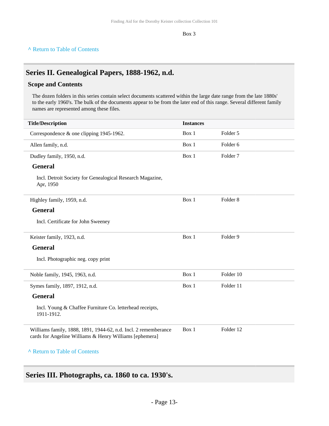Box 3

#### **^** [Return to Table of Contents](#page-1-0)

### <span id="page-12-0"></span>**Series II. Genealogical Papers, 1888-1962, n.d.**

### **Scope and Contents**

The dozen folders in this series contain select documents scattered within the large date range from the late 1880s' to the early 1960's. The bulk of the documents appear to be from the later end of this range. Several different family names are represented among these files.

| <b>Title/Description</b>                                                                                                   | <b>Instances</b> |                     |
|----------------------------------------------------------------------------------------------------------------------------|------------------|---------------------|
| Correspondence & one clipping 1945-1962.                                                                                   | Box 1            | Folder 5            |
| Allen family, n.d.                                                                                                         | Box 1            | Folder <sub>6</sub> |
| Dudley family, 1950, n.d.                                                                                                  | Box 1            | Folder <sub>7</sub> |
| <b>General</b>                                                                                                             |                  |                     |
| Incl. Detroit Society for Genealogical Research Magazine,<br>Apr, 1950                                                     |                  |                     |
| Highley family, 1959, n.d.                                                                                                 | Box 1            | Folder <sub>8</sub> |
| <b>General</b>                                                                                                             |                  |                     |
| Incl. Certificate for John Sweeney                                                                                         |                  |                     |
| Keister family, 1923, n.d.                                                                                                 | Box 1            | Folder 9            |
| <b>General</b>                                                                                                             |                  |                     |
| Incl. Photographic neg. copy print                                                                                         |                  |                     |
| Noble family, 1945, 1963, n.d.                                                                                             | Box 1            | Folder 10           |
| Symes family, 1897, 1912, n.d.                                                                                             | Box 1            | Folder 11           |
| <b>General</b>                                                                                                             |                  |                     |
| Incl. Young & Chaffee Furniture Co. letterhead receipts,<br>1911-1912.                                                     |                  |                     |
| Williams family, 1888, 1891, 1944-62, n.d. Incl. 2 rememberance<br>cards for Angeline Williams & Henry Williams [ephemera] | Box 1            | Folder 12           |
| A Return to Table of Contents                                                                                              |                  |                     |

<span id="page-12-1"></span>**Series III. Photographs, ca. 1860 to ca. 1930's.**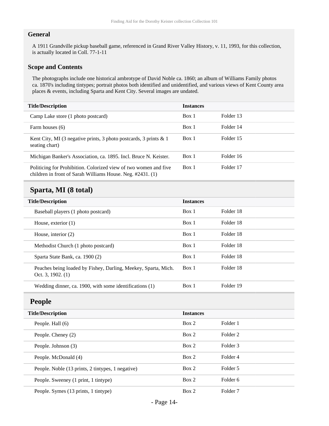### **General**

A 1911 Grandville pickup baseball game, referenced in Grand River Valley History, v. 11, 1993, for this collection, is actually located in Coll. 77-1-11

#### **Scope and Contents**

The photographs include one historical ambrotype of David Noble ca. 1860; an album of Williams Family photos ca. 1870's including tintypes; portrait photos both identified and unidentified, and various views of Kent County area places & events, including Sparta and Kent City. Several images are undated.

| <b>Title/Description</b>                                                                                                       | <b>Instances</b> |           |
|--------------------------------------------------------------------------------------------------------------------------------|------------------|-----------|
| Camp Lake store (1 photo postcard)                                                                                             | Box 1            | Folder 13 |
| Farm houses (6)                                                                                                                | Box 1            | Folder 14 |
| Kent City, MI (3 negative prints, 3 photo postcards, 3 prints $\&$ 1<br>seating chart)                                         | Box 1            | Folder 15 |
| Michigan Banker's Association, ca. 1895. Incl. Bruce N. Keister.                                                               | Box 1            | Folder 16 |
| Politicing for Prohibition. Colorized view of two women and five<br>children in front of Sarah Williams House. Neg. #2431. (1) | Box 1            | Folder 17 |

### <span id="page-13-0"></span>**Sparta, MI (8 total)**

| <b>Title/Description</b>                                                              | <b>Instances</b> |           |
|---------------------------------------------------------------------------------------|------------------|-----------|
| Baseball players (1 photo postcard)                                                   | Box 1            | Folder 18 |
| House, exterior $(1)$                                                                 | Box 1            | Folder 18 |
| House, interior $(2)$                                                                 | Box 1            | Folder 18 |
| Methodist Church (1 photo postcard)                                                   | Box 1            | Folder 18 |
| Sparta State Bank, ca. 1900 (2)                                                       | Box 1            | Folder 18 |
| Peaches being loaded by Fishey, Darling, Meekey, Sparta, Mich.<br>Oct. 3, 1902. $(1)$ | Box 1            | Folder 18 |
| Wedding dinner, ca. 1900, with some identifications $(1)$                             | Box 1            | Folder 19 |

### <span id="page-13-1"></span>**People**

| <b>Title/Description</b>                          | <b>Instances</b> |                     |  |
|---------------------------------------------------|------------------|---------------------|--|
| People. Hall (6)                                  | Box 2            | Folder 1            |  |
| People. Cheney (2)                                | Box 2            | Folder 2            |  |
| People. Johnson (3)                               | Box 2            | Folder 3            |  |
| People. McDonald (4)                              | Box 2            | Folder 4            |  |
| People. Noble (13 prints, 2 tintypes, 1 negative) | Box 2            | Folder 5            |  |
| People. Sweeney (1 print, 1 tintype)              | Box 2            | Folder 6            |  |
| People. Symes (13 prints, 1 tintype)              | Box 2            | Folder <sub>7</sub> |  |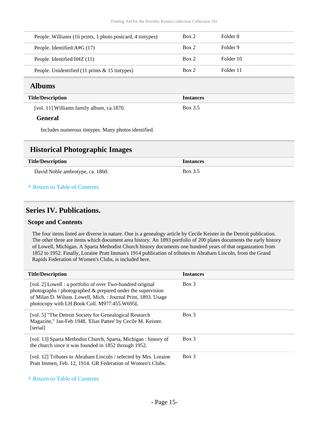| People. Williams (16 prints, 1 photo postcard, 4 tintypes)       | Box 2 | Folder 8  |
|------------------------------------------------------------------|-------|-----------|
| People. Identified: A#G (17)                                     | Box 2 | Folder 9  |
| People. Identified: $H#Z(11)$                                    | Box 2 | Folder 10 |
| People. Unidentified $(11 \text{ prints} \& 15 \text{ intypes})$ | Box 2 | Folder 11 |

### <span id="page-14-0"></span>**Albums**

### **Title/Description Instances** [vol. 11] Williams family album, ca.1870. Box 3.5

#### **General**

Includes numerous tintypes. Many photos identified.

### <span id="page-14-1"></span>**Historical Photographic Images**

| <b>Title/Description</b>         | <b>Instances</b> |
|----------------------------------|------------------|
| David Noble ambrotype, ca. 1860. | Box 3.5          |
| A Return to Table of Contents    |                  |

### <span id="page-14-2"></span>**Series IV. Publications.**

#### **Scope and Contents**

The four items listed are diverse in nature. One is a genealogy article by Cecile Keister in the Detroit publication. The other three are items which document area history. An 1893 portfolio of 200 plates documents the early history of Lowell, Michigan. A Sparta Methodist Church history documents one hundred years of that organization from 1852 to 1952. Finally, Loraine Pratt Imman's 1914 publication of tributes to Abraham Lincoln, from the Grand Rapids Federation of Women's Clubs, is included here.

| <b>Title/Description</b>                                                                                                                                                                                                                           | <b>Instances</b> |
|----------------------------------------------------------------------------------------------------------------------------------------------------------------------------------------------------------------------------------------------------|------------------|
| [vol. 2] Lowell : a portfolio of over Two-hundred original<br>photographs $\ell$ photographed $\&$ prepared under the supervision<br>of Milan D. Wilson. Lowell, Mich.: Journal Print, 1893. Usage<br>photocopy with LH Book Coll. M977.455. W695L | Box 3            |
| [vol. 5] "The Detroit Society for Genealogical Research"<br>Magazine," Jan-Feb 1948, 'Elias Pattee' by Cecile M. Keister.<br>[serial]                                                                                                              | $Box$ 3          |
| [vol. 13] Sparta Methodist Church, Sparta, Michigan: history of<br>the church since it was founded in 1852 through 1952.                                                                                                                           | Box 3            |
| [vol. 12] Tributes to Abraham Lincoln / selected by Mrs. Loraine<br>Pratt Immen, Feb. 12, 1914. GR Federation of Women's Clubs.                                                                                                                    | $Box$ 3          |

**^** [Return to Table of Contents](#page-1-0)